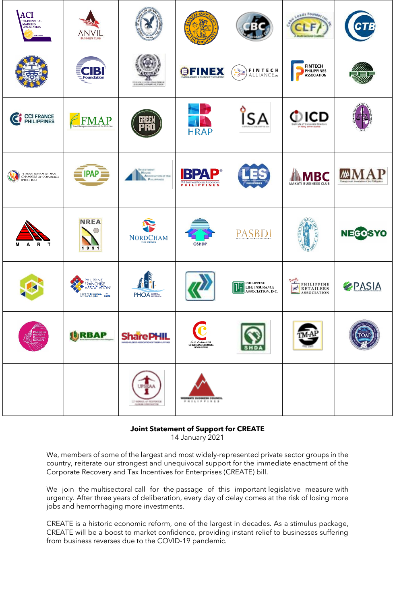| <b>ACI</b><br>THE FINANCIAL MARKETS<br>PHILIPPINES          | <b>ANVIL</b><br><b>BUSINESS CLUB</b>                                  |                                                                                                            |                                                                           |                                                                           | Leads Foundary                               |                           |
|-------------------------------------------------------------|-----------------------------------------------------------------------|------------------------------------------------------------------------------------------------------------|---------------------------------------------------------------------------|---------------------------------------------------------------------------|----------------------------------------------|---------------------------|
|                                                             | $\mathbf B$<br><b>Foundation</b>                                      | THE PERSON LEADERS                                                                                         | <b>GFINEX</b>                                                             | FINTECH<br>Alliance. <sub>"</sub><br>$\frac{1}{\sqrt{2}}$                 | <b>FINTECH</b><br>PHILIPPINES<br>ASSOCIATION |                           |
| <b>CCI FRANCE</b><br>PHILIPPINES<br>$\mathcal{C}$           | <b>FIMAP</b>                                                          |                                                                                                            | <b>HRAP</b>                                                               | о<br><b>SA</b>                                                            | DICD<br>wetyde of Corrosside (fenotors       |                           |
| FEDERATION OF INDIAN<br>CHAMBERS OF COMMERCE<br>(PHIL) INC. | $PAP =$                                                               | <b>BAVESTMENT</b><br><b>House</b><br>Association of the<br>Pas, proces                                     | D®<br>В<br>B<br>$\Delta$<br>T&Business Process Association<br>PHILIPPINES |                                                                           | MAKATI BUSINESS CLUB                         | wheth a of the Finlington |
| R T<br>м<br>A                                               | <b>NREA</b><br>1991                                                   | $\label{eq:nonre} \begin{minipage}{.4\linewidth} \textbf{NORDCHAM} \\ \textbf{PHILIPPINES} \end{minipage}$ | <b>OSHDP</b>                                                              | <b>PASBDI</b>                                                             |                                              | <b>NEGOSYO</b>            |
|                                                             | PHILIPPINE<br>FRANCHISE<br>ASSOCIATION®<br>CREATING Enterprises. 1995 |                                                                                                            | $\boldsymbol{\pi}$                                                        | PHILIPPINE<br><b>THE INSURANCE</b><br>LIFE INSURANCE<br>ASSOCIATION, INC. | <b>PHILIPPINE</b><br>$=$ ASSOCIATION         | <b>PASIA</b>              |
| Philippine<br>Women's<br>Economic<br>Network                | <b>JURBAP</b>                                                         | <b>SharePHIL</b><br>SAME FOLDERY ASSOCIATION OF THE PHILIPPINES                                            | La <i>Câmara</i><br>SPANISH CHAMBER OF COMMERCE<br>IN THE PHILIPPINES     |                                                                           |                                              | roa                       |
|                                                             |                                                                       | <b>UPSEAA</b><br>TO NORDA OF BESTIMAN<br>AURUR AND DUTIER                                                  | program and successful as Council at<br><b>PRISIPPINES</b>                |                                                                           |                                              |                           |

## **Joint Statement of Support for CREATE**

14 January 2021

We, members of some of the largest and most widely-represented private sector groups in the country, reiterate our strongest and unequivocal support for the immediate enactment of the Corporate Recovery and Tax Incentives for Enterprises (CREATE) bill.

We join the multisectoral call for the passage of this important legislative measure with urgency. After three years of deliberation, every day of delay comes at the risk of losing more jobs and hemorrhaging more investments.

CREATE is a historic economic reform, one of the largest in decades. As a stimulus package, CREATE will be a boost to market confidence, providing instant relief to businesses suffering from business reverses due to the COVID-19 pandemic.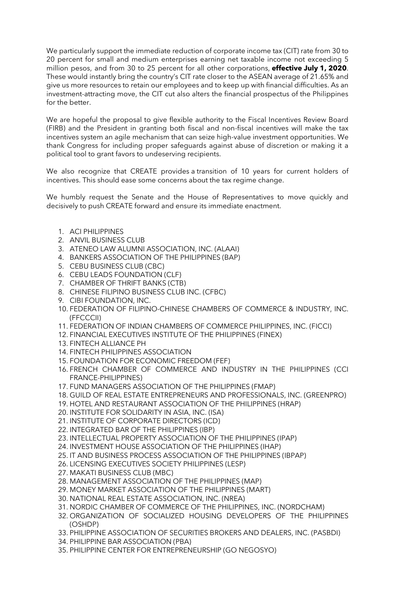We particularly support the immediate reduction of corporate income tax (CIT) rate from 30 to 20 percent for small and medium enterprises earning net taxable income not exceeding 5 million pesos, and from 30 to 25 percent for all other corporations, **effective July 1, 2020**. These would instantly bring the country's CIT rate closer to the ASEAN average of 21.65% and give us more resources to retain our employees and to keep up with financial difficulties. As an investment-attracting move, the CIT cut also alters the financial prospectus of the Philippines for the better.

We are hopeful the proposal to give flexible authority to the Fiscal Incentives Review Board (FIRB) and the President in granting both fiscal and non-fiscal incentives will make the tax incentives system an agile mechanism that can seize high-value investment opportunities. We thank Congress for including proper safeguards against abuse of discretion or making it a political tool to grant favors to undeserving recipients.

We also recognize that CREATE provides a transition of 10 years for current holders of incentives. This should ease some concerns about the tax regime change.

We humbly request the Senate and the House of Representatives to move quickly and decisively to push CREATE forward and ensure its immediate enactment.

- 1. ACI PHILIPPINES
- 2. ANVIL BUSINESS CLUB
- 3. ATENEO LAW ALUMNI ASSOCIATION, INC. (ALAAI)
- 4. BANKERS ASSOCIATION OF THE PHILIPPINES (BAP)
- 5. CEBU BUSINESS CLUB (CBC)
- 6. CEBU LEADS FOUNDATION (CLF)
- 7. CHAMBER OF THRIFT BANKS (CTB)
- 8. CHINESE FILIPINO BUSINESS CLUB INC. (CFBC)
- 9. CIBI FOUNDATION, INC.
- 10. FEDERATION OF FILIPINO-CHINESE CHAMBERS OF COMMERCE & INDUSTRY, INC. (FFCCCII)
- 11. FEDERATION OF INDIAN CHAMBERS OF COMMERCE PHILIPPINES, INC. (FICCI)
- 12. FINANCIAL EXECUTIVES INSTITUTE OF THE PHILIPPINES (FINEX)
- 13. FINTECH ALLIANCE PH
- 14. FINTECH PHILIPPINES ASSOCIATION
- 15. FOUNDATION FOR ECONOMIC FREEDOM (FEF)
- 16. FRENCH CHAMBER OF COMMERCE AND INDUSTRY IN THE PHILIPPINES (CCI FRANCE-PHILIPPINES)
- 17. FUND MANAGERS ASSOCIATION OF THE PHILIPPINES (FMAP)
- 18. GUILD OF REAL ESTATE ENTREPRENEURS AND PROFESSIONALS, INC. (GREENPRO)
- 19. HOTEL AND RESTAURANT ASSOCIATION OF THE PHILIPPINES (HRAP)
- 20. INSTITUTE FOR SOLIDARITY IN ASIA, INC. (ISA)
- 21. INSTITUTE OF CORPORATE DIRECTORS (ICD)
- 22. INTEGRATED BAR OF THE PHILIPPINES (IBP)
- 23. INTELLECTUAL PROPERTY ASSOCIATION OF THE PHILIPPINES (IPAP)
- 24. INVESTMENT HOUSE ASSOCIATION OF THE PHILIPPINES (IHAP)
- 25. IT AND BUSINESS PROCESS ASSOCIATION OF THE PHILIPPINES (IBPAP)
- 26. LICENSING EXECUTIVES SOCIETY PHILIPPINES (LESP)
- 27. MAKATI BUSINESS CLUB (MBC)
- 28. MANAGEMENT ASSOCIATION OF THE PHILIPPINES (MAP)
- 29. MONEY MARKET ASSOCIATION OF THE PHILIPPINES (MART)
- 30. NATIONAL REAL ESTATE ASSOCIATION, INC. (NREA)
- 31. NORDIC CHAMBER OF COMMERCE OF THE PHILIPPINES, INC. (NORDCHAM)
- 32. ORGANIZATION OF SOCIALIZED HOUSING DEVELOPERS OF THE PHILIPPINES (OSHDP)
- 33. PHILIPPINE ASSOCIATION OF SECURITIES BROKERS AND DEALERS, INC. (PASBDI)
- 34. PHILIPPINE BAR ASSOCIATION (PBA)
- 35. PHILIPPINE CENTER FOR ENTREPRENEURSHIP (GO NEGOSYO)